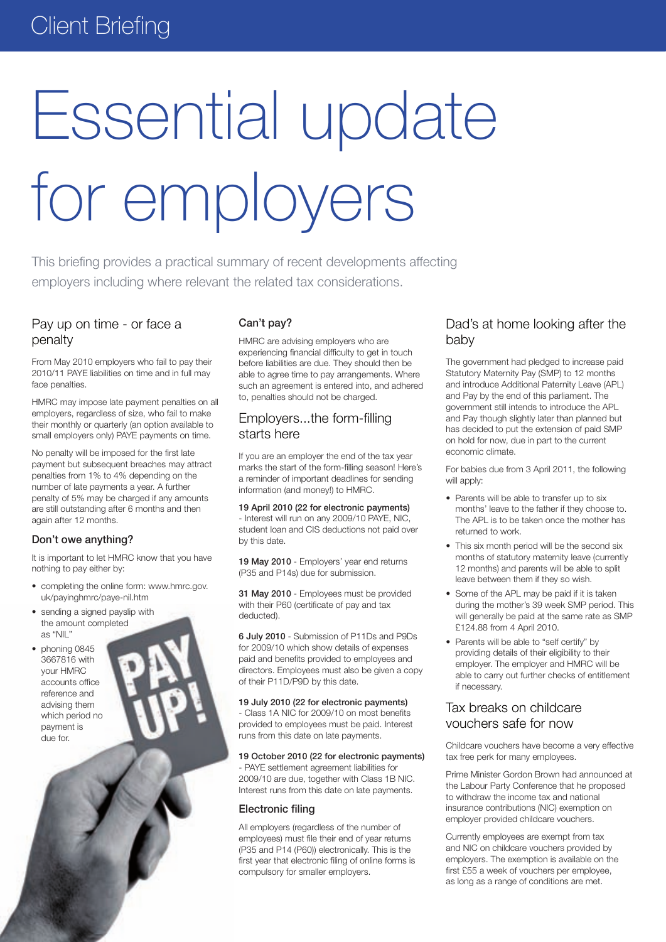# Essential update for employers

This briefing provides a practical summary of recent developments affecting employers including where relevant the related tax considerations.

# Pay up on time - or face a penalty

From May 2010 employers who fail to pay their 2010/11 PAYE liabilities on time and in full may face penalties.

HMRC may impose late payment penalties on all employers, regardless of size, who fail to make their monthly or quarterly (an option available to small employers only) PAYE payments on time.

No penalty will be imposed for the first late payment but subsequent breaches may attract penalties from 1% to 4% depending on the number of late payments a year. A further penalty of 5% may be charged if any amounts are still outstanding after 6 months and then again after 12 months.

### Don't owe anything?

It is important to let HMRC know that you have nothing to pay either by:

- completing the online form: www.hmrc.gov. uk/payinghmrc/paye-nil.htm
- sending a signed payslip with the amount completed as "NIL"
- phoning 0845 3667816 with your HMRC accounts office reference and advising them which period no payment is due for.

## Can't pay?

HMRC are advising employers who are experiencing financial difficulty to get in touch before liabilities are due. They should then be able to agree time to pay arrangements. Where such an agreement is entered into, and adhered to, penalties should not be charged.

## Employers...the form-filling starts here

If you are an employer the end of the tax year marks the start of the form-filling season! Here's a reminder of important deadlines for sending information (and money!) to HMRC.

## 19 April 2010 (22 for electronic payments)

- Interest will run on any 2009/10 PAYE, NIC, student loan and CIS deductions not paid over by this date.

19 May 2010 - Employers' year end returns (P35 and P14s) due for submission.

31 May 2010 - Employees must be provided with their P60 (certificate of pay and tax deducted).

6 July 2010 - Submission of P11Ds and P9Ds for 2009/10 which show details of expenses paid and benefits provided to employees and directors. Employees must also be given a copy of their P11D/P9D by this date.

#### 19 July 2010 (22 for electronic payments)

- Class 1A NIC for 2009/10 on most benefits provided to employees must be paid. Interest runs from this date on late payments.

#### 19 October 2010 (22 for electronic payments)

- PAYE settlement agreement liabilities for 2009/10 are due, together with Class 1B NIC. Interest runs from this date on late payments.

#### Electronic filing

All employers (regardless of the number of employees) must file their end of year returns (P35 and P14 (P60)) electronically. This is the first year that electronic filing of online forms is compulsory for smaller employers.

## Dad's at home looking after the baby

The government had pledged to increase paid Statutory Maternity Pay (SMP) to 12 months and introduce Additional Paternity Leave (APL) and Pay by the end of this parliament. The government still intends to introduce the APL and Pay though slightly later than planned but has decided to put the extension of paid SMP on hold for now, due in part to the current economic climate.

For babies due from 3 April 2011, the following will apply:

- Parents will be able to transfer up to six months' leave to the father if they choose to. The APL is to be taken once the mother has returned to work.
- This six month period will be the second six months of statutory maternity leave (currently 12 months) and parents will be able to split leave between them if they so wish.
- Some of the APL may be paid if it is taken during the mother's 39 week SMP period. This will generally be paid at the same rate as SMP £124.88 from 4 April 2010.
- Parents will be able to "self certify" by providing details of their eligibility to their employer. The employer and HMRC will be able to carry out further checks of entitlement if necessary.

## Tax breaks on childcare vouchers safe for now

Childcare vouchers have become a very effective tax free perk for many employees.

Prime Minister Gordon Brown had announced at the Labour Party Conference that he proposed to withdraw the income tax and national insurance contributions (NIC) exemption on employer provided childcare vouchers.

Currently employees are exempt from tax and NIC on childcare vouchers provided by employers. The exemption is available on the first £55 a week of vouchers per employee, as long as a range of conditions are met.